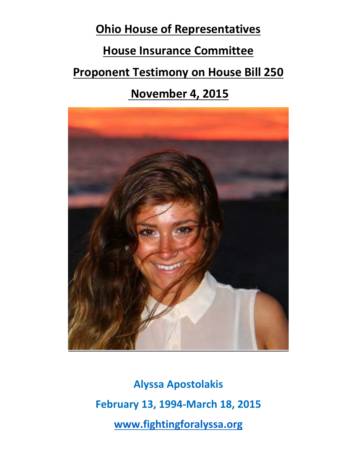**Ohio House of Representatives House Insurance Committee**

**Proponent Testimony on House Bill 250** 

## **November 4, 2015**



**Alyssa Apostolakis February 13, 1994‐March 18, 2015 www.fightingforalyssa.org**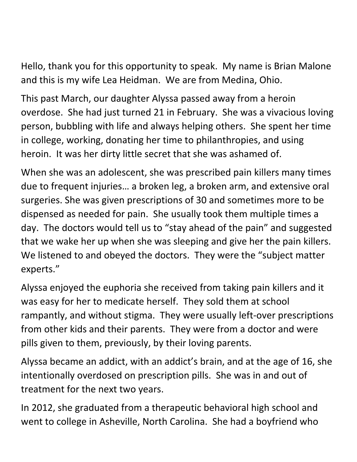Hello, thank you for this opportunity to speak. My name is Brian Malone and this is my wife Lea Heidman. We are from Medina, Ohio.

This past March, our daughter Alyssa passed away from a heroin overdose. She had just turned 21 in February. She was a vivacious loving person, bubbling with life and always helping others. She spent her time in college, working, donating her time to philanthropies, and using heroin. It was her dirty little secret that she was ashamed of.

When she was an adolescent, she was prescribed pain killers many times due to frequent injuries… a broken leg, a broken arm, and extensive oral surgeries. She was given prescriptions of 30 and sometimes more to be dispensed as needed for pain. She usually took them multiple times a day. The doctors would tell us to "stay ahead of the pain" and suggested that we wake her up when she was sleeping and give her the pain killers. We listened to and obeyed the doctors. They were the "subject matter experts."

Alyssa enjoyed the euphoria she received from taking pain killers and it was easy for her to medicate herself. They sold them at school rampantly, and without stigma. They were usually left‐over prescriptions from other kids and their parents. They were from a doctor and were pills given to them, previously, by their loving parents.

Alyssa became an addict, with an addict's brain, and at the age of 16, she intentionally overdosed on prescription pills. She was in and out of treatment for the next two years.

In 2012, she graduated from a therapeutic behavioral high school and went to college in Asheville, North Carolina. She had a boyfriend who